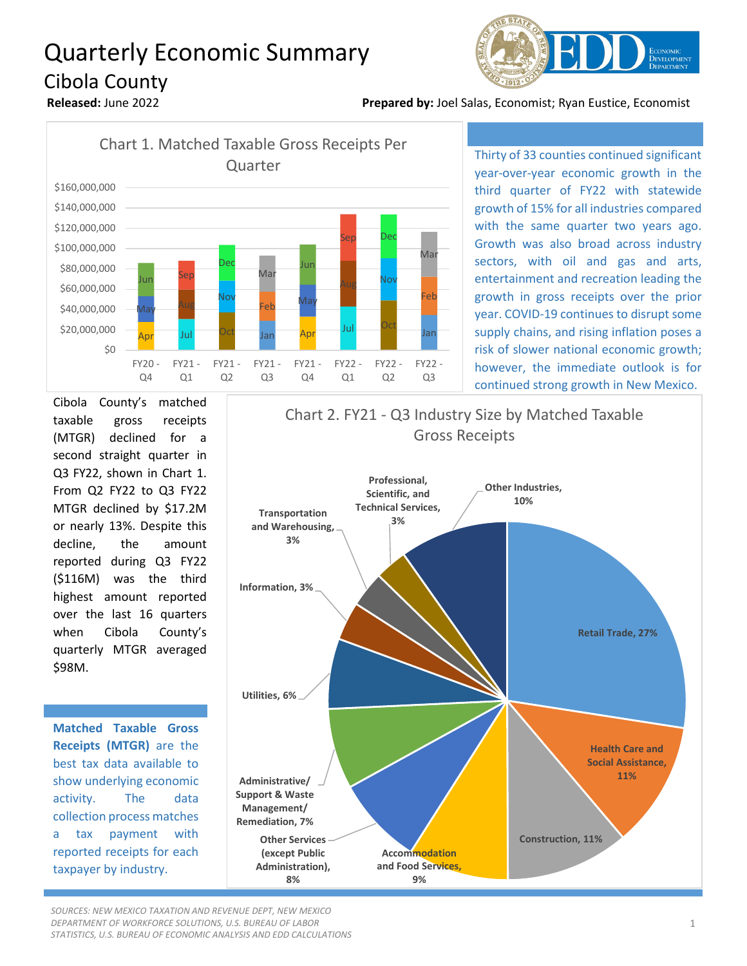## Quarterly Economic Summary Cibola County



**Released:** June 2022 **Prepared by:** Joel Salas, Economist; Ryan Eustice, Economist



Thirty of 33 counties continued significant year-over-year economic growth in the third quarter of FY22 with statewide growth of 15% for all industries compared with the same quarter two years ago. Growth was also broad across industry sectors, with oil and gas and arts, entertainment and recreation leading the growth in gross receipts over the prior year. COVID-19 continues to disrupt some supply chains, and rising inflation poses a risk of slower national economic growth; however, the immediate outlook is for continued strong growth in New Mexico.

Cibola County's matched taxable gross receipts (MTGR) declined for a second straight quarter in Q3 FY22, shown in Chart 1. From Q2 FY22 to Q3 FY22 MTGR declined by \$17.2M or nearly 13%. Despite this decline, the amount reported during Q3 FY22 (\$116M) was the third highest amount reported over the last 16 quarters when Cibola County's quarterly MTGR averaged \$98M.

**Matched Taxable Gross Receipts (MTGR)** are the best tax data available to show underlying economic activity. The data collection process matches a tax payment with reported receipts for each taxpayer by industry.



*SOURCES: NEW MEXICO TAXATION AND REVENUE DEPT, NEW MEXICO DEPARTMENT OF WORKFORCE SOLUTIONS, U.S. BUREAU OF LABOR STATISTICS, U.S. BUREAU OF ECONOMIC ANALYSIS AND EDD CALCULATIONS*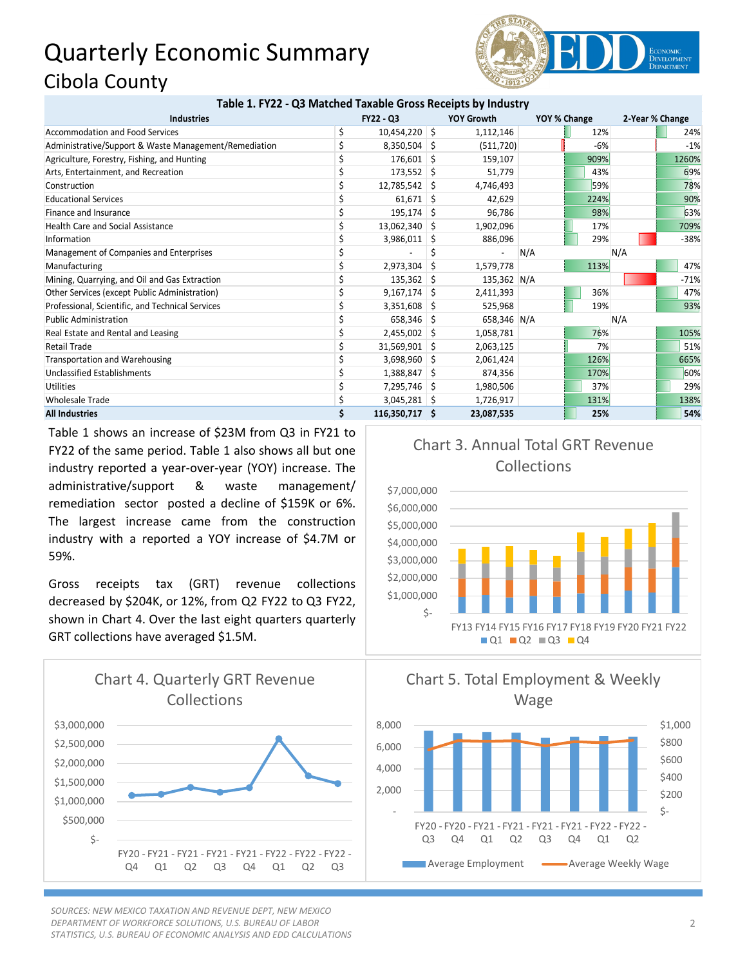## Quarterly Economic Summary Cibola County



| Table 1. FY22 - Q3 Matched Taxable Gross Receipts by Industry |   |                  |    |                   |     |              |     |                 |  |
|---------------------------------------------------------------|---|------------------|----|-------------------|-----|--------------|-----|-----------------|--|
| <b>Industries</b>                                             |   | <b>FY22 - Q3</b> |    | <b>YOY Growth</b> |     | YOY % Change |     | 2-Year % Change |  |
| <b>Accommodation and Food Services</b>                        | Ś | $10,454,220$ \$  |    | 1,112,146         |     | 12%          |     | 24%             |  |
| Administrative/Support & Waste Management/Remediation         |   | $8,350,504$ \$   |    | (511, 720)        |     | $-6%$        |     | $-1%$           |  |
| Agriculture, Forestry, Fishing, and Hunting                   |   | 176,601          | Ŝ  | 159,107           |     | 909%         |     | 1260%           |  |
| Arts, Entertainment, and Recreation                           |   | $173,552$ \$     |    | 51,779            |     | 43%          |     | 69%             |  |
| Construction                                                  |   | $12,785,542$ \$  |    | 4,746,493         |     | 59%          |     | 78%             |  |
| <b>Educational Services</b>                                   |   | $61,671$ \$      |    | 42,629            |     | 224%         |     | 90%             |  |
| Finance and Insurance                                         |   | $195,174$ \$     |    | 96,786            |     | 98%          |     | 63%             |  |
| <b>Health Care and Social Assistance</b>                      |   | 13,062,340 \$    |    | 1,902,096         |     | 17%          |     | 709%            |  |
| Information                                                   |   | 3,986,011        | -S | 886,096           |     | 29%          |     | $-38%$          |  |
| Management of Companies and Enterprises                       |   |                  |    |                   | N/A |              | N/A |                 |  |
| Manufacturing                                                 |   | 2,973,304        | -S | 1,579,778         |     | 113%         |     | 47%             |  |
| Mining, Quarrying, and Oil and Gas Extraction                 |   | $135,362$ \$     |    | 135,362 N/A       |     |              |     | $-71%$          |  |
| Other Services (except Public Administration)                 |   | $9,167,174$ \$   |    | 2,411,393         |     | 36%          |     | 47%             |  |
| Professional, Scientific, and Technical Services              |   | 3,351,608        | -S | 525,968           |     | 19%          |     | 93%             |  |
| <b>Public Administration</b>                                  |   | $658,346$ \$     |    | 658,346 N/A       |     |              | N/A |                 |  |
| Real Estate and Rental and Leasing                            |   | $2,455,002$ \$   |    | 1,058,781         |     | 76%          |     | 105%            |  |
| <b>Retail Trade</b>                                           |   | 31,569,901 \$    |    | 2,063,125         |     | 7%           |     | 51%             |  |
| Transportation and Warehousing                                |   | 3,698,960        | -S | 2,061,424         |     | 126%         |     | 665%            |  |
| <b>Unclassified Establishments</b>                            |   | 1,388,847        | -S | 874,356           |     | 170%         |     | 60%             |  |
| <b>Utilities</b>                                              |   | 7,295,746        | -S | 1,980,506         |     | 37%          |     | 29%             |  |
| <b>Wholesale Trade</b>                                        |   | 3,045,281        | -S | 1,726,917         |     | 131%         |     | 138%            |  |
| <b>All Industries</b>                                         |   | 116,350,717 \$   |    | 23,087,535        |     | 25%          |     | 54%             |  |

Table 1 shows an increase of \$23M from Q3 in FY21 to FY22 of the same period. Table 1 also shows all but one industry reported a year-over-year (YOY) increase. The administrative/support & waste management/ remediation sector posted a decline of \$159K or 6%. The largest increase came from the construction industry with a reported a YOY increase of \$4.7M or 59%.

Gross receipts tax (GRT) revenue collections decreased by \$204K, or 12%, from Q2 FY22 to Q3 FY22, shown in Chart 4. Over the last eight quarters quarterly GRT collections have averaged \$1.5M.



*SOURCES: NEW MEXICO TAXATION AND REVENUE DEPT, NEW MEXICO DEPARTMENT OF WORKFORCE SOLUTIONS, U.S. BUREAU OF LABOR STATISTICS, U.S. BUREAU OF ECONOMIC ANALYSIS AND EDD CALCULATIONS*

## Chart 3. Annual Total GRT Revenue Collections